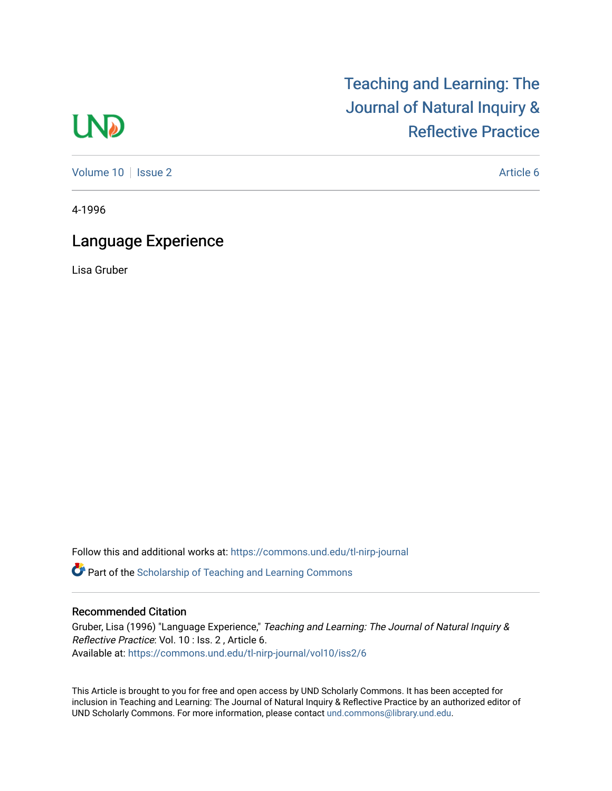# **LND**

[Volume 10](https://commons.und.edu/tl-nirp-journal/vol10) | [Issue 2](https://commons.und.edu/tl-nirp-journal/vol10/iss2) Article 6

[Teaching and Learning: The](https://commons.und.edu/tl-nirp-journal) 

[Journal of Natural Inquiry &](https://commons.und.edu/tl-nirp-journal) 

[Reflective Practice](https://commons.und.edu/tl-nirp-journal) 

4-1996

# Language Experience

Lisa Gruber

Follow this and additional works at: [https://commons.und.edu/tl-nirp-journal](https://commons.und.edu/tl-nirp-journal?utm_source=commons.und.edu%2Ftl-nirp-journal%2Fvol10%2Fiss2%2F6&utm_medium=PDF&utm_campaign=PDFCoverPages) 

**C** Part of the Scholarship of Teaching and Learning Commons

## Recommended Citation

Gruber, Lisa (1996) "Language Experience," Teaching and Learning: The Journal of Natural Inquiry & Reflective Practice: Vol. 10 : Iss. 2 , Article 6. Available at: [https://commons.und.edu/tl-nirp-journal/vol10/iss2/6](https://commons.und.edu/tl-nirp-journal/vol10/iss2/6?utm_source=commons.und.edu%2Ftl-nirp-journal%2Fvol10%2Fiss2%2F6&utm_medium=PDF&utm_campaign=PDFCoverPages) 

This Article is brought to you for free and open access by UND Scholarly Commons. It has been accepted for inclusion in Teaching and Learning: The Journal of Natural Inquiry & Reflective Practice by an authorized editor of UND Scholarly Commons. For more information, please contact [und.commons@library.und.edu.](mailto:und.commons@library.und.edu)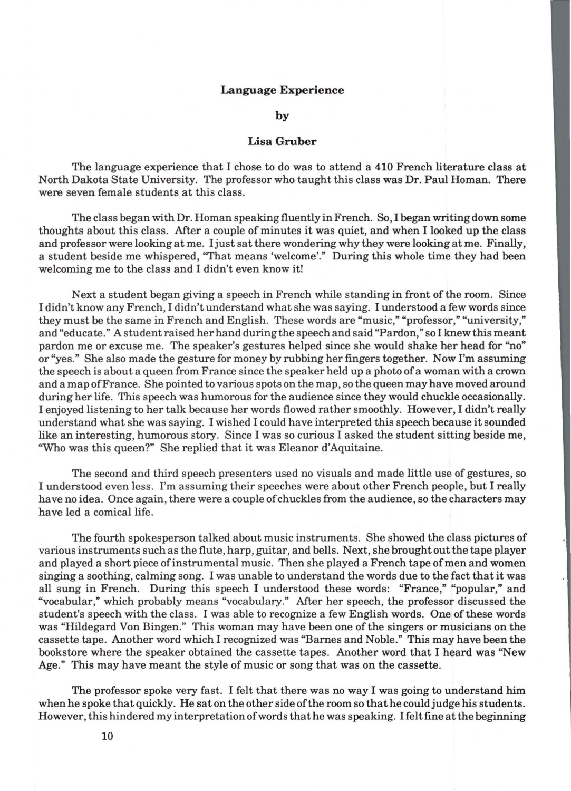#### **Language Experience**

**by** 

### **Lisa Gruber**

The language experience that I chose to do was to attend a 410 French literature class at North Dakota State University. The professor who taught this class was Dr. Paul Homan. There were seven female students at this class.

The class began with Dr. Homan speaking fluently in French. So, I began writing down some thoughts about this class. After a couple of minutes it was quiet, and when I looked up the class and professor were looking at me. I just sat there wondering why they were looking at me. Finally, a student beside me whispered, "That means 'welcome'." During this whole time they had been welcoming me to the class and I didn't even know it!

Next a student began giving a speech in French while standing in front of the room. Since I didn't know any French, I didn't understand what she was saying. I understood a few words since they must be the same in French and English. These words are "music," "professor," "university," and "educate." A student raised her hand during the speech and said "Pardon," so I knew this meant pardon me or excuse me. The speaker's gestures helped since she would shake her head for "no" or "yes." She also made the gesture for money by rubbing her fingers together. Now I'm assuming the speech is about a queen from France since the speaker held up a photo ofa woman with a crown and a map ofFrance. She pointed to various spots on the map, so the queen may have moved around during her life. This speech was humorous for the audience since they would chuckle occasionally. I enjoyed listening to her talk because her words flowed rather smoothly. However, I didn't really understand what she was saying. I wished I could have interpreted this speech because it sounded like an interesting, humorous story. Since I was so curious I asked the student sitting beside me, "Who was this queen?" She replied that it was Eleanor d'Aquitaine.

The second and third speech presenters used no visuals and made little use of gestures, so I understood even less. I'm assuming their speeches were about other French people, but I really have no idea. Once again, there were a couple of chuckles from the audience, so the characters may have led a comical life.

The fourth spokesperson talked about music instruments. She showed the class pictures of various instruments such as the flute, harp, guitar, and bells. Next, she brought out the tape player and played a short piece of instrumental music. Then she played a French tape of men and women singing a soothing, calming song. I was unable to understand the words due to the fact that it was all sung in French. During this speech I understood these words: "France," "popular," and "vocabular," which probably means "vocabulary." After her speech, the professor discussed the student's speech with the class. I was able to recognize a few English words. One of these words was "Hildegard Von Bingen." This woman may have been one of the singers or musicians on the cassette tape. Another word which I recognized was "Barnes and Noble." This may have been the bookstore where the speaker obtained the cassette tapes. Another word that I heard was "New Age." This may have meant the style of music or song that was on the cassette.

The professor spoke very fast. I felt that there was no way I was going to understand him when he spoke that quickly. He sat on the other side of the room so that he could judge his students. However, this hindered my interpretation of words that he was speaking. I felt fine at the beginning